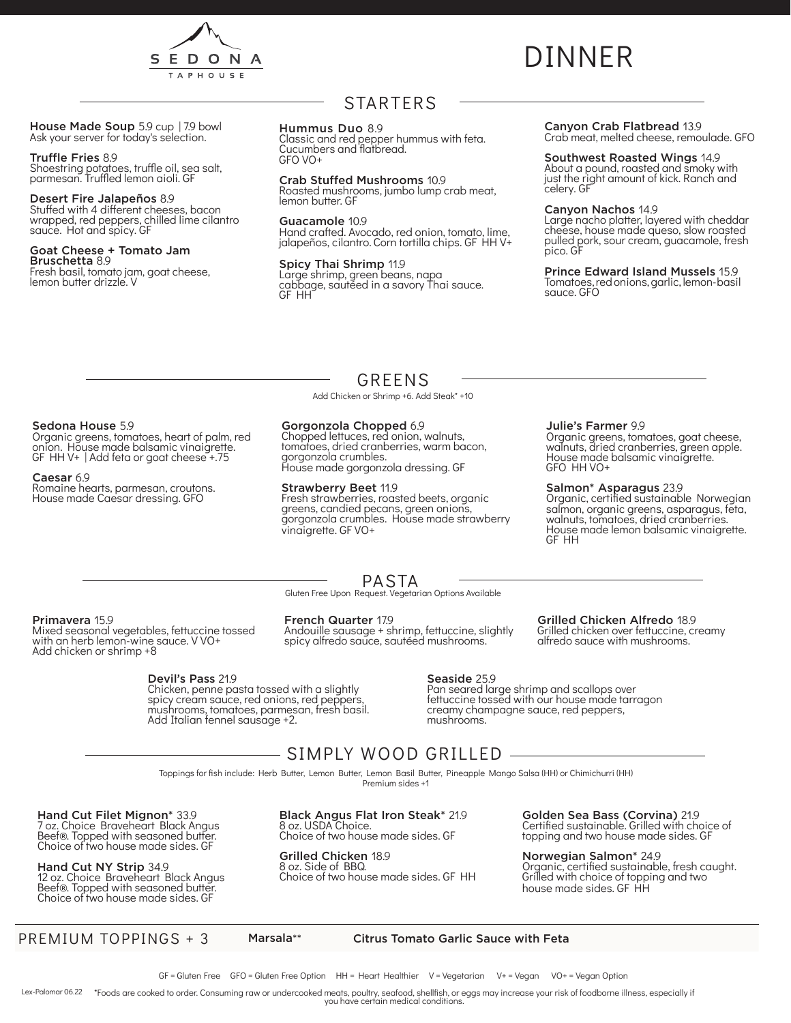

# DINNER

House Made Soup 5.9 cup | 7.9 bowl<br>Ask your server for today's selection.

#### Truffle Fries 8.9

Shoestring potatoes, truffle oil, sea salt, parmesan. Truffled lemon aioli. GF

#### Desert Fire Jalapeños 8.9

Stuffed with 4 different cheeses, bacon wrapped, red peppers, chilled lime cilantro sauce. Hot and spicy. GF

#### Goat Cheese + Tomato Jam Bruschetta 8.9

Fresh basil, tomato jam, goat cheese, lemon butter drizzle. V

### STARTERS

#### Hummus Duo 8.9

Classic and red pepper hummus with feta. Cucumbers and flatbread. GFO VO+

Crab Stuffed Mushrooms 10.9 Roasted mushrooms, jumbo lump crab meat, lemon butter. GF

Guacamole 10.9 Hand crafted. Avocado, red onion, tomato, lime, jalapeños, cilantro. Corn tortilla chips. GF HH V+

Spicy Thai Shrimp 11.9 Large shrimp, green beans, napa cabbage, sautéed in a savory Thai sauce. GF HH

### Canyon Crab Flatbread 13.9

Crab meat, melted cheese, remoulade. GFO

#### Southwest Roasted Wings 14.9

About a pound, roasted and smoky with just the right amount of kick. Ranch and celery. GF

#### Canyon Nachos 14.9

Large nacho platter, layered with cheddar cheese, house made queso, slow roasted pulled pork, sour cream, guacamole, fresh pico. GF

Prince Edward Island Mussels 15.9 Tomatoes, red onions, garlic, lemon- basil sauce. GFO

### GREENS

Add Chicken or Shrimp +6. Add Steak\* +10

#### Sedona House 5.9

Organic greens, tomatoes, heart of palm, red onion. House made balsamic vinaigrette. GF HH V+ | Add feta or goat cheese +.75

#### Caesar 6.9

Romaine hearts, parmesan, croutons. House made Caesar dressing. GFO

#### Gorgonzola Chopped 6.9

Chopped lettuces, red onion, walnuts, tomatoes, dried cranberries, warm bacon, gorgonzola crumbles. House made gorgonzola dressing. GF

#### Strawberry Beet 11.9

Fresh strawberries, roasted beets, organic greens, candied pecans, green onions, gorgonzola crumbles. House made strawberry vinaigrette. GF VO+

#### Julie's Farmer 9.9

Organic greens, tomatoes, goat cheese, walnuts, dried cranberries, green apple. House made balsamic vinaigrette. GFO HH VO+

#### Salmon\* Asparagus 23.9

Organic, certified sustainable Norwegian salmon, organic greens, asparagus, feta, walnuts, tomatoes, dried cranberries. House made lemon balsamic vinaigrette. GF HH

#### PASTA

Gluten Free Upon Request. Vegetarian Options Available

#### Primavera 15.9

Mixed seasonal vegetables, fettuccine tossed with an herb lemon-wine sauce. V VO+ Add chicken or shrimp +8

#### Devil's Pass 21.9

Chicken, penne pasta tossed with a slightly spicy cream sauce, red onions, red peppers, mushrooms, tomatoes, parmesan, fresh basil. Add Italian fennel sausage +2.

#### French Quarter 17.9

Andouille sausage + shrimp, fettuccine, slightly spicy alfredo sauce, sautéed mushrooms.

#### Grilled Chicken Alfredo 18.9 Grilled chicken over fettuccine, creamy

alfredo sauce with mushrooms.

#### Seaside 25.9

Pan seared large shrimp and scallops over fettuccine tossed with our house made tarragon creamy champagne sauce, red peppers, mushrooms.

### SIMPLY WOOD GRILLED

Toppings for fish include: Herb Butter, Lemon Butter, Lemon Basil Butter, Pineapple Mango Salsa (HH) or Chimichurri (HH) Premium sides +1

Hand Cut Filet Mignon\* 33.9 7 oz. Choice Braveheart Black Angus Beef®. Topped with seasoned butter. Choice of two house made sides. GF

Hand Cut NY Strip 34.9 12 oz. Choice Braveheart Black Angus Beef®. Topped with seasoned butter. Choice of two house made sides. GF

Black Angus Flat Iron Steak\* 21.9 8 oz. USDA Choice. Choice of two house made sides. GF

Grilled Chicken 18.9 8 oz. Side of BBQ.

Choice of two house made sides. GF HH

Golden Sea Bass (Corvina) 21.9 Certified sustainable. Grilled with choice of topping and two house made sides. GF

Norwegian Salmon\* 24.9 Organic, certified sustainable, fresh caught. Grilled with choice of topping and two house made sides. GF HH

PREMIUM TOPPINGS + 3 Marsala\*\* Citrus Tomato Garlic Sauce with Feta

GF = Gluten Free GFO = Gluten Free Option HH = Heart Healthier V = Vegetarian V+ = Vegan VO+ = Vegan Option

Lex-Palomar 06.22 \*Foods are cooked to order. Consuming raw or undercooked meats, poultry, seafood, shellfish, or eggs may increase your risk of foodborne illness, especially if you have certain medical conditions.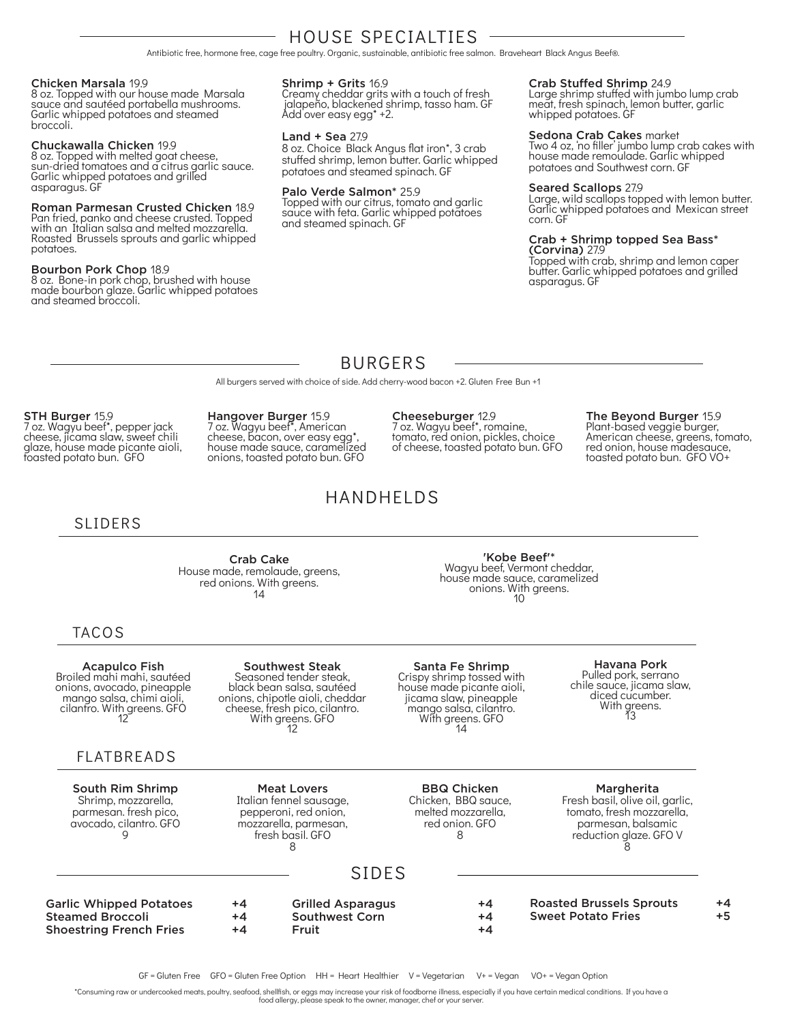### HOUSE SPECIALTIES

Antibiotic free, hormone free, cage free poultry. Organic, sustainable, antibiotic free salmon. Braveheart Black Angus Beef®.

#### Chicken Marsala 19.9

8 oz. Topped with our house made Marsala sauce and sautéed portabella mushrooms. Garlic whipped potatoes and steamed broccoli.

#### Chuckawalla Chicken 19.9

8 oz. Topped with melted goat cheese, sun-dried tomatoes and a citrus garlic sauce. Garlic whipped potatoes and grilled asparagus. GF

#### Roman Parmesan Crusted Chicken 18.9

Pan fried, panko and cheese crusted. Topped with an Italian salsa and melted mozzarella. Roasted Brussels sprouts and garlic whipped potatoes.

#### Bourbon Pork Chop 18.9

8 oz. Bone-in pork chop, brushed with house made bourbon glaze. Garlic whipped potatoes and steamed broccoli.

#### Shrimp + Grits 16.9

Creamy cheddar grits with a touch of fresh jalapeño, blackened shrimp, tasso ham. GF<br>Add over easy egg\* +2.

#### Land + Sea 27.9

8 oz. Choice Black Angus flat iron\*, 3 crab stuffed shrimp, lemon butter. Garlic whipped potatoes and steamed spinach. GF

#### Palo Verde Salmon\* 25.9

Topped with our citrus, tomato and garlic sauce with feta. Garlic whipped potatoes and steamed spinach. GF

#### Crab Stuffed Shrimp 24.9

Large shrimp stuffed with jumbo lump crab meat, fresh spinach, lemon butter, garlic whipped potatoes. GF

#### Sedona Crab Cakes market

Two 4 oz, 'no filler' jumbo lump crab cakes with house made remoulade. Garlic whipped potatoes and Southwest corn. GF

#### Seared Scallops 27.9

Large, wild scallops topped with lemon butter. Garlic whipped potatoes and Mexican street corn. GF

### Crab + Shrimp topped Sea Bass\*

(Corvina) 27.9 Topped with crab, shrimp and lemon caper butter. Garlic whipped potatoes and grilled asparagus. GF

> The Beyond Burger 15.9 Plant-based veggie burger, American cheese, greens, tomato, red onion, house madesauce, toasted potato bun. GFO VO+

### BURGERS

All burgers served with choice of side. Add cherry-wood bacon +2. Gluten Free Bun +1

#### STH Burger 15.9

7 oz. Wagyu beef\*, pepper jack cheese, jicama slaw, sweet chili glaze, house made picante aioli, toasted potato bun. GFO

Hangover Burger 15.9 7 oz. Wagyu beef\*, American cheese, bacon, over easy egg\*, house made sauce, caramelized onions, toasted potato bun. GFO

### HANDHELDS

### SLIDERS

Crab Cake House made, remolaude, greens, red onions. With greens.  $14$ 

#### 'Kobe Beef'\* Wagyu beef, Vermont cheddar, house made sauce, caramelized onions. With greens. <sup>10</sup>

Cheeseburger<sub>12.9</sub> 7 oz. Wagyu beef\*, romaine, tomato, red onion, pickles, choice of cheese, toasted potato bun. GFO

### TACOS

Acapulco Fish Broiled mahi mahi, sautéed onions, avocado, pineapple mango salsa, chimi aioli, cilantro. With greens. GFO <sup>12</sup>

#### FLATBREADS

South Rim Shrimp Shrimp, mozzarella, parmesan. fresh pico, avocado, cilantro. GFO 9

Southwest Steak Seasoned tender steak, black bean salsa, sautéed onions, chipotle aioli, cheddar cheese, fresh pico, cilantro.<br>With greens. GFO<br>12

Santa Fe Shrimp Crispy shrimp tossed with house made picante aioli, jicama slaw, pineapple mango salsa, cilantro.<br>With greens. GFO<br>14

## **Havana Pork**<br>Pulled pork, serrano chile sauce, jicama slaw,<br>diced cucumber. With greens.<br>13

Meat Lovers Italian fennel sausage, pepperoni, red onion, mozzarella, parmesan, fresh basil. GFO 8

#### BBQ Chicken Chicken, BBQ sauce, melted mozzarella, red onion. GFO 8

#### Margherita

Fresh basil, olive oil, garlic, tomato, fresh mozzarella, parmesan, balsamic reduction glaze. GFO V 8

### SIDES

| <b>Garlic Whipped Potatoes</b><br><b>Steamed Broccoli</b><br><b>Shoestring French Fries</b> | +4<br>+4<br>+4 | <b>Grilled Asparagus</b><br><b>Southwest Corn</b><br>Fruit | $+4$<br>+4<br>+4 | <b>Roasted Brussels Sprouts</b><br><b>Sweet Potato Fries</b> | +4<br>+5 |
|---------------------------------------------------------------------------------------------|----------------|------------------------------------------------------------|------------------|--------------------------------------------------------------|----------|
|---------------------------------------------------------------------------------------------|----------------|------------------------------------------------------------|------------------|--------------------------------------------------------------|----------|

GF = Gluten Free GFO = Gluten Free Option HH = Heart Healthier V = Vegetarian V+ = Vegan VO+ = Vegan Option

\*Consuming raw or undercooked meats, poultry, seafood, shellfish, or eggs may increase your risk of foodborne illness, especially if you have certain medical conditions. If you have a food allergy, please speak to the owner, manager, chef or your server.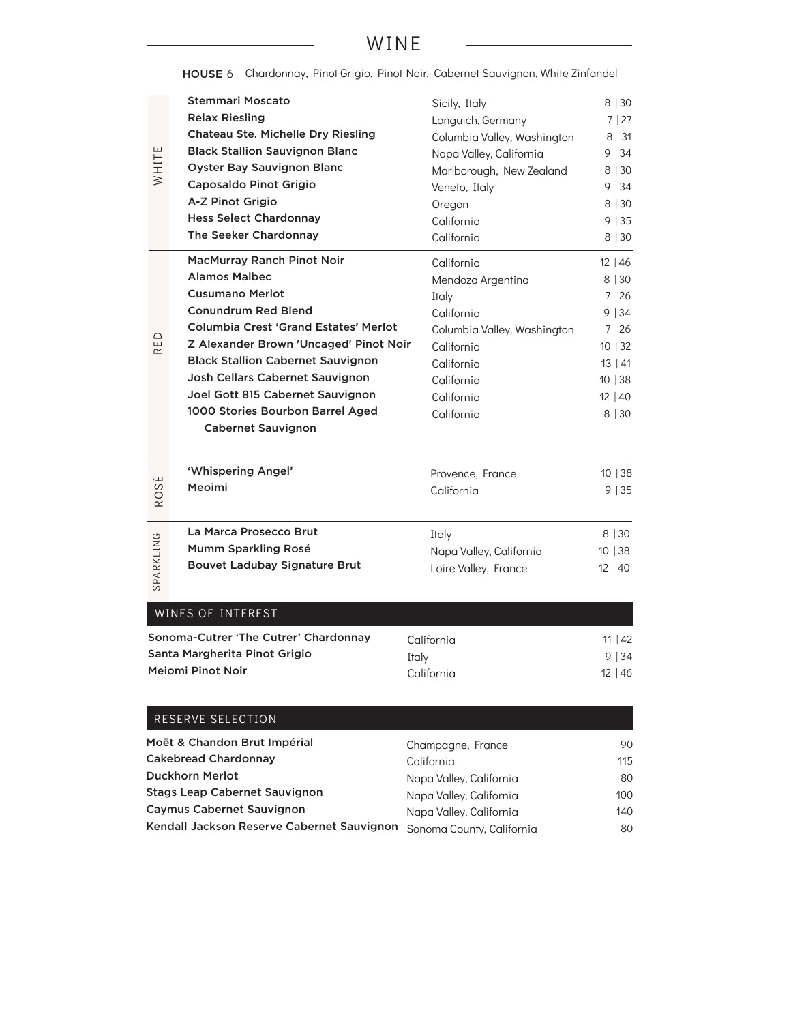### WINE

HOUSE 6 Chardonnay, Pinot Grigio, Pinot Noir, Cabernet Sauvignon, White Zinfandel

|                | Stemmari Moscato                             | Sicily, Italy               | 8 30    |
|----------------|----------------------------------------------|-----------------------------|---------|
|                | <b>Relax Riesling</b>                        | Longuich, Germany           | 7 27    |
|                | <b>Chateau Ste. Michelle Dry Riesling</b>    | Columbia Valley, Washington | 8 31    |
|                | <b>Black Stallion Sauvignon Blanc</b>        |                             |         |
| WHITE          | <b>Oyster Bay Sauvignon Blanc</b>            | Napa Valley, California     | 9   34  |
|                | Caposaldo Pinot Grigio                       | Marlborough, New Zealand    | 8 30    |
|                | A-Z Pinot Grigio                             | Veneto, Italy               | 9   34  |
|                |                                              | Oregon                      | 8 30    |
|                | <b>Hess Select Chardonnay</b>                | California                  | 9 35    |
|                | The Seeker Chardonnay                        | California                  | 8 30    |
|                | MacMurray Ranch Pinot Noir                   | California                  | 12 46   |
|                | <b>Alamos Malbec</b>                         | Mendoza Argentina           | 8 30    |
|                | <b>Cusumano Merlot</b>                       | Italy                       | 7 26    |
|                | <b>Conundrum Red Blend</b>                   | California                  | 9 34    |
|                | <b>Columbia Crest 'Grand Estates' Merlot</b> | Columbia Valley, Washington | 7 26    |
| RED            | Z Alexander Brown 'Uncaged' Pinot Noir       | California                  | 10   32 |
|                | <b>Black Stallion Cabernet Sauvignon</b>     | California                  | 13 41   |
|                | Josh Cellars Cabernet Sauvignon              | California                  | 10 38   |
|                | Joel Gott 815 Cabernet Sauvignon             | California                  | 12 40   |
|                | 1000 Stories Bourbon Barrel Aged             | California                  | 8 30    |
|                | <b>Cabernet Sauvignon</b>                    |                             |         |
|                |                                              |                             |         |
|                | 'Whispering Angel'                           | Provence, France            | 10 38   |
| )SÉ            | Meoimi                                       | California                  | 9 35    |
| R <sub>O</sub> |                                              |                             |         |
|                | La Marca Prosecco Brut                       | Italy                       | 8 30    |
| SPARKLING      | Mumm Sparkling Rosé                          | Napa Valley, California     | 10 38   |
|                | <b>Bouvet Ladubay Signature Brut</b>         | Loire Valley, France        | 12 40   |
|                |                                              |                             |         |
|                |                                              |                             |         |
|                | WINES OF INTEREST                            |                             |         |
|                | Sonoma-Cutrer 'The Cutrer' Chardonnay        | California                  | 11   42 |
|                | Santa Margherita Pinot Grigio                | Italy                       | 9 34    |
|                | Mejomi Pinot Noir                            | California                  | 12 46   |
|                |                                              |                             |         |
|                |                                              |                             |         |
|                | RESERVE SELECTION                            |                             |         |

| RESERVE SELECTION                          |                           |     |
|--------------------------------------------|---------------------------|-----|
| Moët & Chandon Brut Impérial               | Champagne, France         | 90  |
| <b>Cakebread Chardonnay</b>                | California                | 115 |
| <b>Duckhorn Merlot</b>                     | Napa Valley, California   | 80  |
| <b>Stags Leap Cabernet Sauvignon</b>       | Napa Valley, California   | 100 |
| <b>Caymus Cabernet Sauvignon</b>           | Napa Valley, California   | 140 |
| Kendall Jackson Reserve Cabernet Sauvignon | Sonoma County, California | 80  |